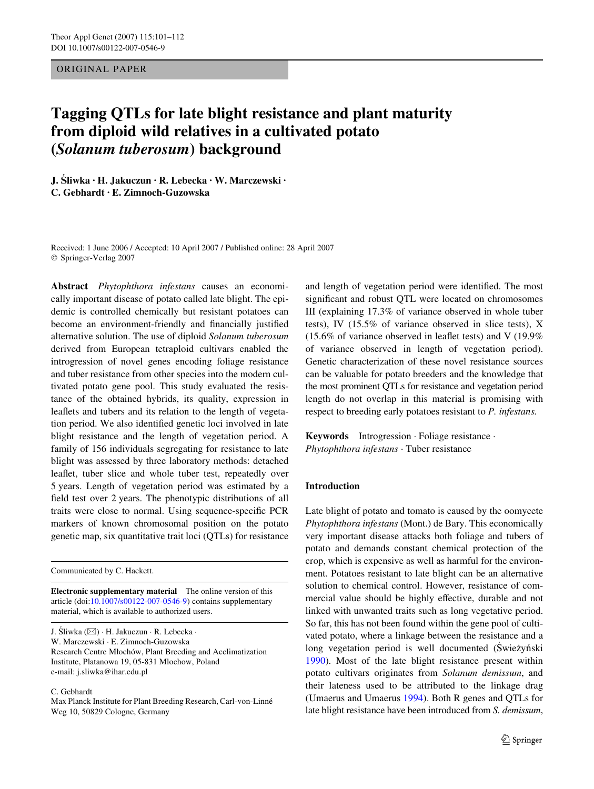#### ORIGINAL PAPER

# **Tagging QTLs for late blight resistance and plant maturity from diploid wild relatives in a cultivated potato (***Solanum tuberosum***) background**

**J. Jliwka · H. Jakuczun · R. Lebecka · W. Marczewski · C. Gebhardt · E. Zimnoch-Guzowska** 

Received: 1 June 2006 / Accepted: 10 April 2007 / Published online: 28 April 2007 © Springer-Verlag 2007

**Abstract** *Phytophthora infestans* causes an economically important disease of potato called late blight. The epidemic is controlled chemically but resistant potatoes can become an environment-friendly and financially justified alternative solution. The use of diploid *Solanum tuberosum* derived from European tetraploid cultivars enabled the introgression of novel genes encoding foliage resistance and tuber resistance from other species into the modern cultivated potato gene pool. This study evaluated the resistance of the obtained hybrids, its quality, expression in leaflets and tubers and its relation to the length of vegetation period. We also identified genetic loci involved in late blight resistance and the length of vegetation period. A family of 156 individuals segregating for resistance to late blight was assessed by three laboratory methods: detached leaflet, tuber slice and whole tuber test, repeatedly over 5 years. Length of vegetation period was estimated by a field test over 2 years. The phenotypic distributions of all traits were close to normal. Using sequence-specific PCR markers of known chromosomal position on the potato genetic map, six quantitative trait loci (QTLs) for resistance

Communicated by C. Hackett.

**Electronic supplementary material** The online version of this article (doi[:10.1007/s00122-007-0546-9\)](http://dx.doi.org/10.1007/s00122-007-0546-9) contains supplementary material, which is available to authorized users.

J. Śliwka ( $\boxtimes$ ) · H. Jakuczun · R. Lebecka · W. Marczewski · E. Zimnoch-Guzowska Research Centre Miochów, Plant Breeding and Acclimatization Institute, Platanowa 19, 05-831 Mlochow, Poland e-mail: j.sliwka@ihar.edu.pl

#### C. Gebhardt

Max Planck Institute for Plant Breeding Research, Carl-von-Linné Weg 10, 50829 Cologne, Germany

and length of vegetation period were identified. The most significant and robust QTL were located on chromosomes III (explaining 17.3% of variance observed in whole tuber tests), IV (15.5% of variance observed in slice tests), X  $(15.6\%$  of variance observed in leaflet tests) and V (19.9%) of variance observed in length of vegetation period). Genetic characterization of these novel resistance sources can be valuable for potato breeders and the knowledge that the most prominent QTLs for resistance and vegetation period length do not overlap in this material is promising with respect to breeding early potatoes resistant to *P. infestans.*

**Keywords** Introgression · Foliage resistance · *Phytophthora infestans* · Tuber resistance

#### **Introduction**

Late blight of potato and tomato is caused by the oomycete *Phytophthora infestans* (Mont.) de Bary. This economically very important disease attacks both foliage and tubers of potato and demands constant chemical protection of the crop, which is expensive as well as harmful for the environment. Potatoes resistant to late blight can be an alternative solution to chemical control. However, resistance of commercial value should be highly effective, durable and not linked with unwanted traits such as long vegetative period. So far, this has not been found within the gene pool of cultivated potato, where a linkage between the resistance and a long vegetation period is well documented (Swieżyński [1990](#page-11-0)). Most of the late blight resistance present within potato cultivars originates from *Solanum demissum*, and their lateness used to be attributed to the linkage drag (Umaerus and Umaerus [1994](#page-11-1)). Both R genes and QTLs for late blight resistance have been introduced from *S. demissum*,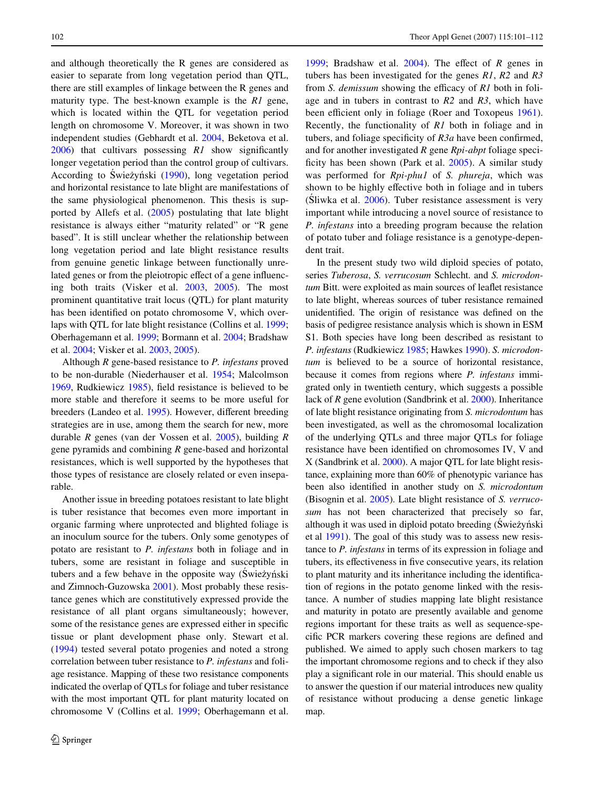and although theoretically the R genes are considered as easier to separate from long vegetation period than QTL, there are still examples of linkage between the R genes and maturity type. The best-known example is the *R1* gene, which is located within the QTL for vegetation period length on chromosome V. Moreover, it was shown in two independent studies (Gebhardt et al. [2004](#page-10-0), Beketova et al.  $2006$ ) that cultivars possessing *R1* show significantly longer vegetation period than the control group of cultivars. According to Świeżyński ([1990\)](#page-11-0), long vegetation period and horizontal resistance to late blight are manifestations of the same physiological phenomenon. This thesis is supported by Allefs et al. [\(2005](#page-10-2)) postulating that late blight resistance is always either "maturity related" or "R gene based". It is still unclear whether the relationship between long vegetation period and late blight resistance results from genuine genetic linkage between functionally unrelated genes or from the pleiotropic effect of a gene influencing both traits (Visker et al. [2003](#page-11-2), [2005\)](#page-11-3). The most prominent quantitative trait locus (QTL) for plant maturity has been identified on potato chromosome V, which overlaps with QTL for late blight resistance (Collins et al. [1999](#page-10-3); Oberhagemann et al. [1999;](#page-10-4) Bormann et al. [2004;](#page-10-5) Bradshaw et al. [2004;](#page-10-6) Visker et al. [2003](#page-11-2), [2005](#page-11-3)).

Although *R* gene-based resistance to *P. infestans* proved to be non-durable (Niederhauser et al. [1954](#page-10-7); Malcolmson [1969](#page-10-8), Rudkiewicz  $1985$ , field resistance is believed to be more stable and therefore it seems to be more useful for breeders (Landeo et al. [1995\)](#page-10-9). However, different breeding strategies are in use, among them the search for new, more durable *R* genes (van der Vossen et al. [2005](#page-11-5)), building *R* gene pyramids and combining *R* gene-based and horizontal resistances, which is well supported by the hypotheses that those types of resistance are closely related or even inseparable.

Another issue in breeding potatoes resistant to late blight is tuber resistance that becomes even more important in organic farming where unprotected and blighted foliage is an inoculum source for the tubers. Only some genotypes of potato are resistant to *P. infestans* both in foliage and in tubers, some are resistant in foliage and susceptible in tubers and a few behave in the opposite way (Swieżyński and Zimnoch-Guzowska [2001](#page-11-6)). Most probably these resistance genes which are constitutively expressed provide the resistance of all plant organs simultaneously; however, some of the resistance genes are expressed either in specific tissue or plant development phase only. Stewart et al. [\(1994](#page-11-7)) tested several potato progenies and noted a strong correlation between tuber resistance to *P. infestans* and foliage resistance. Mapping of these two resistance components indicated the overlap of QTLs for foliage and tuber resistance with the most important OTL for plant maturity located on chromosome V (Collins et al. [1999;](#page-10-3) Oberhagemann et al.

[1999](#page-10-4); Bradshaw et al.  $2004$ ). The effect of *R* genes in tubers has been investigated for the genes *R1*, *R2* and *R3* from *S. demissum* showing the efficacy of *R1* both in foliage and in tubers in contrast to *R2* and *R3*, which have been efficient only in foliage (Roer and Toxopeus [1961](#page-11-8)). Recently, the functionality of *R1* both in foliage and in tubers, and foliage specificity of  $R3a$  have been confirmed, and for another investigated *R* gene *Rpi-abpt* foliage specificity has been shown (Park et al.  $2005$ ). A similar study was performed for *Rpi-phu1* of *S. phureja*, which was shown to be highly effective both in foliage and in tubers (Sliwka et al. [2006](#page-11-10)). Tuber resistance assessment is very important while introducing a novel source of resistance to *P. infestans* into a breeding program because the relation of potato tuber and foliage resistance is a genotype-dependent trait.

In the present study two wild diploid species of potato, series *Tuberosa*, *S. verrucosum* Schlecht. and *S. microdontum* Bitt. were exploited as main sources of leaflet resistance to late blight, whereas sources of tuber resistance remained unidentified. The origin of resistance was defined on the basis of pedigree resistance analysis which is shown in ESM S1. Both species have long been described as resistant to *P. infestans* (Rudkiewicz [1985;](#page-11-4) Hawkes [1990\)](#page-10-10). *S. microdontum* is believed to be a source of horizontal resistance, because it comes from regions where *P. infestans* immigrated only in twentieth century, which suggests a possible lack of *R* gene evolution (Sandbrink et al. [2000](#page-11-11)). Inheritance of late blight resistance originating from *S. microdontum* has been investigated, as well as the chromosomal localization of the underlying QTLs and three major QTLs for foliage resistance have been identified on chromosomes IV, V and X (Sandbrink et al. [2000](#page-11-11)). A major QTL for late blight resistance, explaining more than 60% of phenotypic variance has been also identified in another study on *S. microdontum* (Bisognin et al. [2005](#page-10-11)). Late blight resistance of *S. verrucosum* has not been characterized that precisely so far, although it was used in diploid potato breeding (Swieżyński et al [1991\)](#page-11-12). The goal of this study was to assess new resistance to *P. infestans* in terms of its expression in foliage and tubers, its effectiveness in five consecutive years, its relation to plant maturity and its inheritance including the identification of regions in the potato genome linked with the resistance. A number of studies mapping late blight resistance and maturity in potato are presently available and genome regions important for these traits as well as sequence-specific PCR markers covering these regions are defined and published. We aimed to apply such chosen markers to tag the important chromosome regions and to check if they also play a significant role in our material. This should enable us to answer the question if our material introduces new quality of resistance without producing a dense genetic linkage map.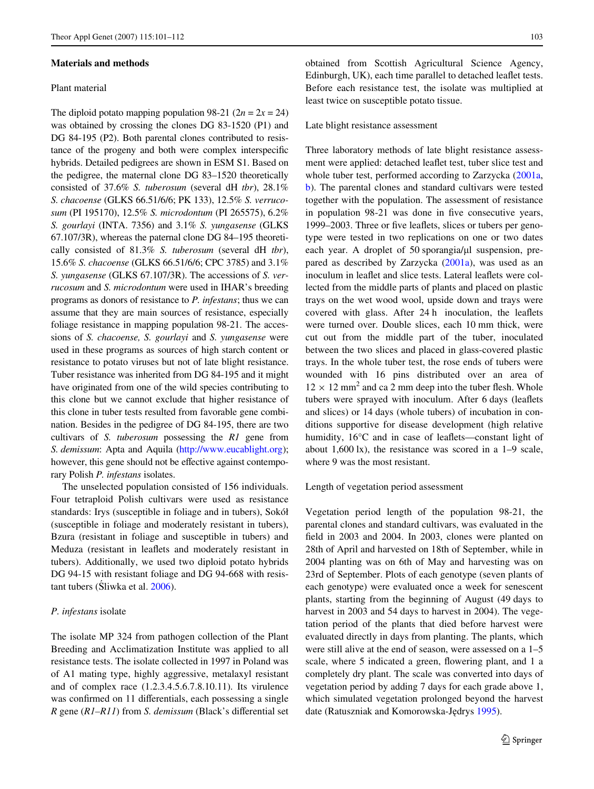#### **Materials and methods**

#### Plant material

The diploid potato mapping population 98-21 ( $2n = 2x = 24$ ) was obtained by crossing the clones DG 83-1520 (P1) and DG 84-195 (P2). Both parental clones contributed to resistance of the progeny and both were complex interspecific hybrids. Detailed pedigrees are shown in ESM S1. Based on the pedigree, the maternal clone DG 83–1520 theoretically consisted of 37.6% *S. tuberosum* (several dH *tbr*), 28.1% *S. chacoense* (GLKS 66.51/6/6; PK 133), 12.5% *S. verrucosum* (PI 195170), 12.5% *S. microdontum* (PI 265575), 6.2% *S. gourlayi* (INTA. 7356) and 3.1% *S. yungasense* (GLKS 67.107/3R), whereas the paternal clone DG 84–195 theoretically consisted of 81.3% *S. tuberosum* (several dH *tbr*), 15.6% *S. chacoense* (GLKS 66.51/6/6; CPC 3785) and 3.1% *S. yungasense* (GLKS 67.107/3R). The accessions of *S. verrucosum* and *S. microdontum* were used in IHAR's breeding programs as donors of resistance to *P. infestans*; thus we can assume that they are main sources of resistance, especially foliage resistance in mapping population 98-21. The accessions of *S. chacoense, S. gourlayi* and *S. yungasense* were used in these programs as sources of high starch content or resistance to potato viruses but not of late blight resistance. Tuber resistance was inherited from DG 84-195 and it might have originated from one of the wild species contributing to this clone but we cannot exclude that higher resistance of this clone in tuber tests resulted from favorable gene combination. Besides in the pedigree of DG 84-195, there are two cultivars of *S. tuberosum* possessing the *R1* gene from *S. demissum*: Apta and Aquila [\(http://www.eucablight.org](http://www.eucablight.org)); however, this gene should not be effective against contemporary Polish *P. infestans* isolates.

The unselected population consisted of 156 individuals. Four tetraploid Polish cultivars were used as resistance standards: Irys (susceptible in foliage and in tubers), Sokói (susceptible in foliage and moderately resistant in tubers), Bzura (resistant in foliage and susceptible in tubers) and Meduza (resistant in leaflets and moderately resistant in tubers). Additionally, we used two diploid potato hybrids DG 94-15 with resistant foliage and DG 94-668 with resistant tubers ( $\text{Siiwka et al. } 2006$  $\text{Siiwka et al. } 2006$ ).

#### *P. infestans* isolate

The isolate MP 324 from pathogen collection of the Plant Breeding and Acclimatization Institute was applied to all resistance tests. The isolate collected in 1997 in Poland was of A1 mating type, highly aggressive, metalaxyl resistant and of complex race (1.2.3.4.5.6.7.8.10.11). Its virulence was confirmed on 11 differentials, each possessing a single *R* gene (*R1–R11*) from *S. demissum* (Black's differential set obtained from Scottish Agricultural Science Agency, Edinburgh, UK), each time parallel to detached leaflet tests. Before each resistance test, the isolate was multiplied at least twice on susceptible potato tissue.

#### Late blight resistance assessment

Three laboratory methods of late blight resistance assessment were applied: detached leaflet test, tuber slice test and whole tuber test, performed according to Zarzycka [\(2001a,](#page-11-13) [b](#page-11-14)). The parental clones and standard cultivars were tested together with the population. The assessment of resistance in population 98-21 was done in five consecutive years, 1999–2003. Three or five leaflets, slices or tubers per genotype were tested in two replications on one or two dates each year. A droplet of  $50$  sporangia/ $\mu$ l suspension, prepared as described by Zarzycka [\(2001a\)](#page-11-13), was used as an inoculum in leaflet and slice tests. Lateral leaflets were collected from the middle parts of plants and placed on plastic trays on the wet wood wool, upside down and trays were covered with glass. After 24 h inoculation, the leaflets were turned over. Double slices, each 10 mm thick, were cut out from the middle part of the tuber, inoculated between the two slices and placed in glass-covered plastic trays. In the whole tuber test, the rose ends of tubers were wounded with 16 pins distributed over an area of  $12 \times 12$  mm<sup>2</sup> and ca 2 mm deep into the tuber flesh. Whole tubers were sprayed with inoculum. After 6 days (leaflets and slices) or 14 days (whole tubers) of incubation in conditions supportive for disease development (high relative humidity,  $16^{\circ}$ C and in case of leaflets—constant light of about 1,600 lx), the resistance was scored in a 1–9 scale, where 9 was the most resistant.

#### Length of vegetation period assessment

Vegetation period length of the population 98-21, the parental clones and standard cultivars, was evaluated in the field in 2003 and 2004. In 2003, clones were planted on 28th of April and harvested on 18th of September, while in 2004 planting was on 6th of May and harvesting was on 23rd of September. Plots of each genotype (seven plants of each genotype) were evaluated once a week for senescent plants, starting from the beginning of August (49 days to harvest in 2003 and 54 days to harvest in 2004). The vegetation period of the plants that died before harvest were evaluated directly in days from planting. The plants, which were still alive at the end of season, were assessed on a 1–5 scale, where 5 indicated a green, flowering plant, and 1 a completely dry plant. The scale was converted into days of vegetation period by adding 7 days for each grade above 1, which simulated vegetation prolonged beyond the harvest date (Ratuszniak and Komorowska-Jędrys [1995\)](#page-11-15).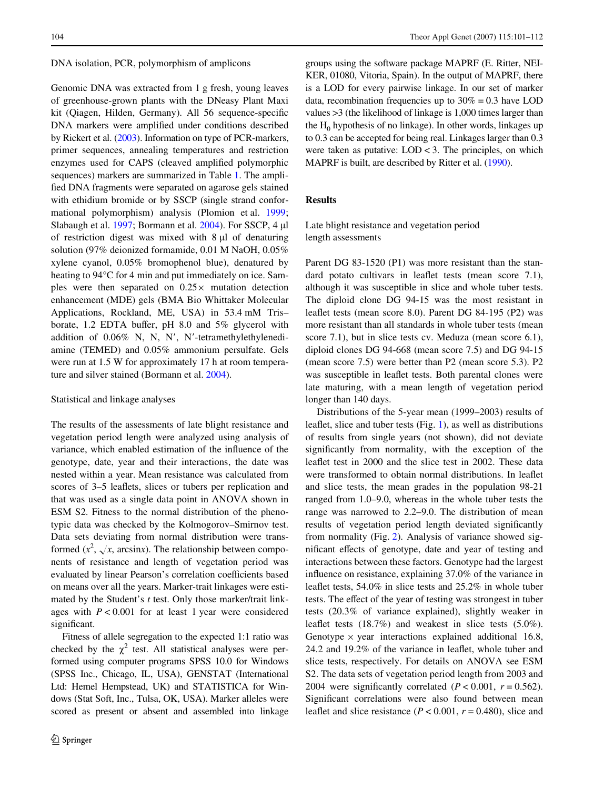DNA isolation, PCR, polymorphism of amplicons

Genomic DNA was extracted from 1 g fresh, young leaves of greenhouse-grown plants with the DNeasy Plant Maxi kit (Qiagen, Hilden, Germany). All 56 sequence-specific DNA markers were amplified under conditions described by Rickert et al. ([2003](#page-11-16)). Information on type of PCR-markers, primer sequences, annealing temperatures and restriction enzymes used for CAPS (cleaved amplified polymorphic sequences) markers are summarized in Table [1.](#page-4-0) The amplified DNA fragments were separated on agarose gels stained with ethidium bromide or by SSCP (single strand conformational polymorphism) analysis (Plomion et al. [1999](#page-11-17); Slabaugh et al. [1997;](#page-11-18) Bormann et al. [2004](#page-10-5)). For SSCP, 4 µl of restriction digest was mixed with  $8 \mu$  of denaturing solution (97% deionized formamide, 0.01 M NaOH, 0.05% xylene cyanol, 0.05% bromophenol blue), denatured by heating to 94°C for 4 min and put immediately on ice. Samples were then separated on  $0.25 \times$  mutation detection enhancement (MDE) gels (BMA Bio Whittaker Molecular Applications, Rockland, ME, USA) in 53.4 mM Tris– borate, 1.2 EDTA buffer, pH 8.0 and 5% glycerol with addition of 0.06% N, N, N', N'-tetramethylethylenediamine (TEMED) and 0.05% ammonium persulfate. Gels were run at 1.5 W for approximately 17 h at room temperature and silver stained (Bormann et al. [2004\)](#page-10-5).

#### Statistical and linkage analyses

The results of the assessments of late blight resistance and vegetation period length were analyzed using analysis of variance, which enabled estimation of the influence of the genotype, date, year and their interactions, the date was nested within a year. Mean resistance was calculated from scores of 3–5 leaflets, slices or tubers per replication and that was used as a single data point in ANOVA shown in ESM S2. Fitness to the normal distribution of the phenotypic data was checked by the Kolmogorov–Smirnov test. Data sets deviating from normal distribution were transformed  $(x^2, \sqrt{x}$ , arcsinx). The relationship between components of resistance and length of vegetation period was evaluated by linear Pearson's correlation coefficients based on means over all the years. Marker-trait linkages were estimated by the Student's *t* test. Only those marker/trait linkages with  $P < 0.001$  for at least 1 year were considered significant.

Fitness of allele segregation to the expected 1:1 ratio was checked by the  $\chi^2$  test. All statistical analyses were performed using computer programs SPSS 10.0 for Windows (SPSS Inc., Chicago, IL, USA), GENSTAT (International Ltd: Hemel Hempstead, UK) and STATISTICA for Windows (Stat Soft, Inc., Tulsa, OK, USA). Marker alleles were scored as present or absent and assembled into linkage groups using the software package MAPRF (E. Ritter, NEI-KER, 01080, Vitoria, Spain). In the output of MAPRF, there is a LOD for every pairwise linkage. In our set of marker data, recombination frequencies up to  $30\% = 0.3$  have LOD values >3 (the likelihood of linkage is 1,000 times larger than the  $H_0$  hypothesis of no linkage). In other words, linkages up to 0.3 can be accepted for being real. Linkages larger than 0.3 were taken as putative:  $LOD < 3$ . The principles, on which MAPRF is built, are described by Ritter et al. ([1990](#page-11-19)).

### **Results**

Late blight resistance and vegetation period length assessments

Parent DG 83-1520 (P1) was more resistant than the standard potato cultivars in leaflet tests (mean score  $7.1$ ), although it was susceptible in slice and whole tuber tests. The diploid clone DG 94-15 was the most resistant in leaflet tests (mean score 8.0). Parent DG 84-195 (P2) was more resistant than all standards in whole tuber tests (mean score 7.1), but in slice tests cv. Meduza (mean score 6.1), diploid clones DG 94-668 (mean score 7.5) and DG 94-15 (mean score 7.5) were better than P2 (mean score 5.3). P2 was susceptible in leaflet tests. Both parental clones were late maturing, with a mean length of vegetation period longer than 140 days.

Distributions of the 5-year mean (1999–2003) results of leaflet, slice and tuber tests (Fig. [1](#page-6-0)), as well as distributions of results from single years (not shown), did not deviate significantly from normality, with the exception of the leaflet test in 2000 and the slice test in 2002. These data were transformed to obtain normal distributions. In leaflet and slice tests, the mean grades in the population 98-21 ranged from 1.0–9.0, whereas in the whole tuber tests the range was narrowed to 2.2–9.0. The distribution of mean results of vegetation period length deviated significantly from normality (Fig. [2](#page-6-1)). Analysis of variance showed significant effects of genotype, date and year of testing and interactions between these factors. Genotype had the largest influence on resistance, explaining  $37.0\%$  of the variance in leaflet tests,  $54.0\%$  in slice tests and  $25.2\%$  in whole tuber tests. The effect of the year of testing was strongest in tuber tests (20.3% of variance explained), slightly weaker in leaflet tests  $(18.7%)$  and weakest in slice tests  $(5.0%)$ . Genotype  $\times$  year interactions explained additional 16.8, 24.2 and  $19.2\%$  of the variance in leaflet, whole tuber and slice tests, respectively. For details on ANOVA see ESM S2. The data sets of vegetation period length from 2003 and 2004 were significantly correlated  $(P < 0.001, r = 0.562)$ . Significant correlations were also found between mean leaflet and slice resistance ( $P < 0.001$ ,  $r = 0.480$ ), slice and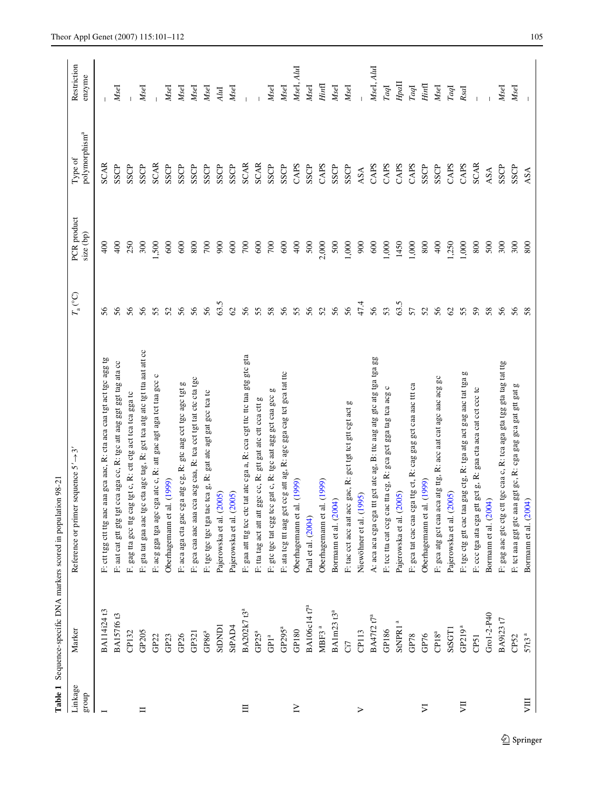|                  |                                       | Table 1 Sequence-specific DNA markers scored in population 98-21          |                                 |                          |                                      |                       |
|------------------|---------------------------------------|---------------------------------------------------------------------------|---------------------------------|--------------------------|--------------------------------------|-----------------------|
| Linkage<br>dnora | Marker                                | $\tilde{3}$<br>sequence 5'<br>Reference or primer                         | $T_{\rm a} \, (^{\circ} \rm C)$ | PCR product<br>size (bp) | polymorphism <sup>a</sup><br>Type of | Restriction<br>enzyme |
|                  | BA114i24 t3                           | F: ctt tgg ctt ttg aac aaa gca aac, R: cta aca caa tgt act tgc agg tg     | 56                              | $rac{6}{4}$              | <b>SCAR</b>                          |                       |
|                  | <b>BA157f6t3</b>                      | F: aat cat gtt gtg tgt cca aga cc, R: tgc att aag ggt ggt tag ata cc      | 56                              | 400                      | SSCP                                 | Msel                  |
|                  | CP132                                 | F. gag tta gcc ttg cag tgt c, R: ctt ctg act tca tca gga tc               | 56                              | 250                      | SSCP                                 |                       |
| $\equiv$         | GP205                                 | F: gta tat gaa aac tgc cta agc tag, R: gct tca atg atc tgt tta aat att cc | 56                              | 300                      | SSCP                                 | Msel                  |
|                  | GP <sub>22</sub>                      | F: acg gga tga agc cga atc c, R: att gac agt aga tct taa gcc c            | 55                              | 500                      | <b>SCAR</b>                          |                       |
|                  | GP <sub>23</sub>                      | (1999)<br>Oberhagemann et al.                                             | 52                              | 600                      | SSCP                                 | Msel                  |
|                  | GP <sub>26</sub>                      | F: aca aga cta gac cga atg cg, R: gtc aag cct tgc agc tgt g               | 56                              | 600                      | SSCP                                 | Msel                  |
|                  | GP321                                 | F: gca caa aac aaa cca acg caa, R: tca cct tgt tat ctc cta tgc            | 56                              | 800                      | SSCP                                 | Msel                  |
|                  | GPS6 <sup>a</sup>                     | F: tgc tgc tgc tga tac tca g, R: gat atc agt gat gcc tca tc               | 56                              | 700                      | SSCP                                 | MseI                  |
|                  | <b>IGNOS</b>                          | Pajerowska et al. (2005)                                                  | 63.5                            | 900                      | SSCP                                 | AluI                  |
|                  | StPAD <sub>4</sub>                    | Pajerowska et al. (2005)                                                  | $\mathcal{O}$                   | 600                      | SSCP                                 | Msel                  |
| 目                | <b>BA202k7</b> t3 <sup>a</sup>        | F: gaa att ttg tcc ctc tat atc cga a, R: cca cgt ttc ttc taa gtg gtc gta  | 56                              | 700                      | <b>SCAR</b>                          |                       |
|                  | $GP25^a$                              | F: tta tag act att att ggc cc, R: gtt gat atc ctt cca ctt g               | 55                              | 600                      | <b>SCAR</b>                          |                       |
|                  | $\mbox{GPI}^{\rm a}$                  | 60<br>gat c, R: tgc aat agg gct caa gcc<br>F: gtc tgc tat egg tcc         | 58                              | 700                      | SSCP                                 | Msel                  |
|                  | GP295 <sup>ª</sup>                    | F: ata teg ttt aag get ceg att ag, R: age gga cag tet gea tat tte         | 56                              | 600                      | SSCP                                 | Msel                  |
| $\geq$           | GP180                                 | (1999)<br>Oberhagemann et al.                                             | 55                              | 400                      | CAPS                                 | Msel, AluI            |
|                  | BA106c14 t7ª                          | Paal et al. (2004)                                                        | 56                              | 500                      | SSCP                                 | MseI                  |
|                  | $\ensuremath{\mathsf{MBF3}}\xspace$ a | (1999)<br>Oberhagemann et al.                                             | 52                              | 2,000                    | CAPS                                 | Hint                  |
|                  | BA1m23 t3ª                            | Bormann et al. (2004)                                                     | 56                              | 500                      | SSCP                                 | MseI                  |
|                  | Ci7                                   | gac, R: get tgt tet gtt egt act g<br>F: tac cet acc aat acc               | 56                              | 1,000                    | SSCP                                 | Msel                  |
| ⋗                | CP113                                 | Niewöhner et al. (1995)                                                   | 47.4                            | 900                      | ASA                                  |                       |
|                  | BA47f2 t7ª                            | A: aca aca cga cga tit gct atc ag, B: ttc aag atg gtc atg tga tga gg      | 56                              | 600                      | CAPS                                 | Msel, AluI            |
|                  | GP186                                 | $\circ$<br>F: tcc tta cat ccg cac tta cg, R: gca gct gga tag tca acg      | 53                              | 000.1                    | CAPS                                 | Taql                  |
|                  | $\mbox{StNPR1}^{\,a}$                 | Pajerowska et al. (2005)                                                  | 63.5                            | 1450                     | CAPS                                 | $H$ pa $\Pi$          |
|                  | GP78                                  | F: gca tat cac caa cga ttg ct, R: cag gag gct caa aac ttt ca              | 57                              | 1,000                    | CAPS                                 | Taql                  |
| $\overline{v}$   | GP76                                  | (1999)<br>Oberhagemann et al.                                             | 52                              | 800                      | SSCP                                 | Hint                  |
|                  | $CP18^a$                              | F: gca atg get caa aca atg ttg, R: acc aat cat age aac acg ge             | 56                              | 400                      | SSCP                                 | MseI                  |
|                  | StSGT1                                | Pajerowska et al. (2005)                                                  | $\mathcal{S}$                   | ,250                     | CAPS                                 | Taql                  |
| ZЦ               | GP219 <sup>a</sup>                    | F: tgc ctg gtt cac taa gag ctg, R: tga atg act gag aac tat tga g          | 55                              | 1,000                    | CAPS                                 | $R_{Sd}$              |
|                  | CP51                                  | get g, R: gaa eta aca cat eet eee te<br>F: ccc tga ata cga gtt            | 59                              | 800                      | <b>SCAR</b>                          |                       |
|                  | Gro1-2-P40                            | Bormann et al. (2004)                                                     | 58                              | 500                      | ASA                                  |                       |
|                  | BA9i23 t7                             | F: gag aac gtc ctg ctt tgc caa c, R: tca aga gta tgg gta tag tat ttg      | 56                              | 300                      | SSCP                                 | MseI                  |
|                  | CP52                                  | ggt gc, R: cga gag gca gat gtt gat g<br>F: tot aaa ggt gto aaa            | 56                              | 300                      | SSCP                                 | MseI                  |
| NШ               | $57t3^a$                              | Bormann et al. (2004)                                                     | 58                              | 800                      | ASA                                  |                       |

<span id="page-4-0"></span> $\mathcal{D}$  Springer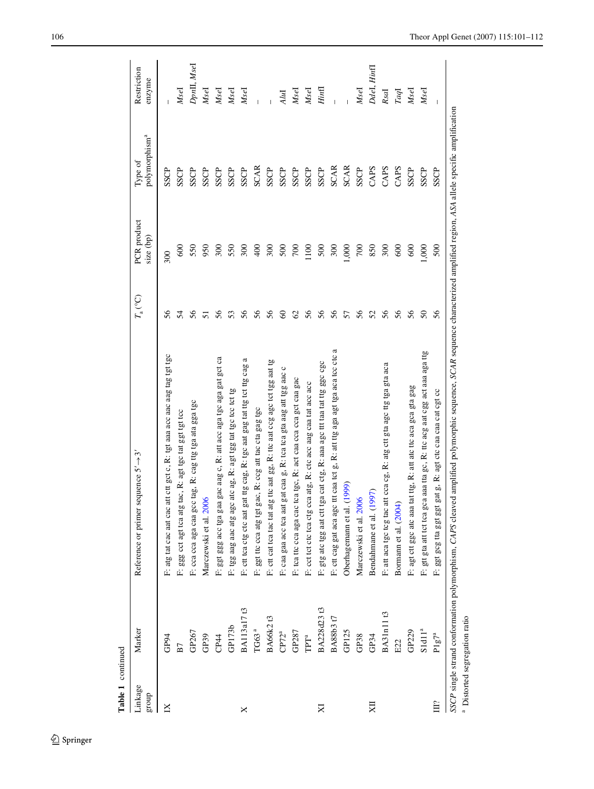| Table 1 continued |                                          |                                                                                                                                                                            |               |                                 |                                      |                       |
|-------------------|------------------------------------------|----------------------------------------------------------------------------------------------------------------------------------------------------------------------------|---------------|---------------------------------|--------------------------------------|-----------------------|
| Linkage<br>group  | Marker                                   | Reference or primer sequence $5' \rightarrow 3'$                                                                                                                           | $T_a$ (°C)    | <b>PCR</b> product<br>size (bp) | polymorphism <sup>a</sup><br>Type of | Restriction<br>enzyme |
| $_{\rm IX}$       | GP94                                     | F: atg tat cac aat cac att ctt gct c, R: tgt aaa acc aac aag tag tgt tgc                                                                                                   | 56            | 300                             | SSCP                                 |                       |
|                   | B7                                       | F: ggg cct agt tca atg tac, R: agt tgc tat ggt tgt tcc                                                                                                                     | 54            | 600                             | SSCP                                 | MseI                  |
|                   | GP267                                    | F: cca cca aga caa gcc tag, R: cag ttg tga ata gga tgc                                                                                                                     | 56            | 550                             | SSCP                                 | $Dp n$ II, Msel       |
|                   | GP <sub>39</sub>                         | Marczewski et al. 2006                                                                                                                                                     | 5             | 950                             | SSCP                                 | Msel                  |
|                   | CP44                                     | F: ggt ggg acc tga gaa gac aag c, R: att acc aga tgc aga gat gct ca                                                                                                        | 56            | 300                             | SSCP                                 | Msel                  |
|                   | GP173b                                   | atc ag, R: agt tgg tat tgc tcc tct tg<br>F: tgg aag aac atg agc                                                                                                            | 53            | 550                             | SSCP                                 | Msel                  |
| ×                 | BA113a17t3                               | F: ctt tca ctg ctc aat gat ttg cag, R: tgc aat gag tat ttg tct ttg cag a                                                                                                   | 56            | 300                             | SSCP                                 | Msel                  |
|                   | $T G 63^a$                               | F: ggt ttc cca atg tgt gac, R: ccg att tac cta gag tgc                                                                                                                     | 56            | 400                             | <b>SCAR</b>                          |                       |
|                   | <b>BA66k2t3</b>                          | F: ott cat tea tac tat atg tte aat gg, R: tte aat ceg age tet tgg aat tg                                                                                                   | 56            | 300                             | SSCP                                 |                       |
|                   | CP72 <sup>a</sup>                        | gat caa g, R: tca tca gta aag att tgg aac c<br>F: caa gaa acc tca aat                                                                                                      | 8             | 500                             | SSCP                                 | AluI                  |
|                   | GP287                                    | F: tca ttc cca aga cac tca tgc, R: act caa cca cca gct caa gac                                                                                                             | $\mathcal{L}$ | 700                             | SSCP                                 | Msel                  |
|                   | <b>ТРТ</b> а                             | F: cet tet ete tea etg cea atg, R: ete ace aag caa tat ace ace                                                                                                             | 56            | 1100                            | SSCP                                 | Msel                  |
| $_{\rm N}$        | BA228d23 t3                              | F: gtg atc tgg aat ctt tga cat ctg, R: aaa agc ttt taa tat ttg ggc cgc                                                                                                     | 56            | 500                             | SSCP                                 | Hint                  |
|                   | BA88b3t7                                 | F: ctt cag gat aca age ttt caa tet g, R: att ttg aga agt tga aca tee etc a                                                                                                 | 56            | 300                             | <b>SCAR</b>                          |                       |
|                   | GP125                                    | (1999)<br>Oberhagemann et al.                                                                                                                                              | 57            | 000.1                           | <b>SCAR</b>                          |                       |
|                   | GP38                                     | Marczewski et al. 2006                                                                                                                                                     | 56            | 700                             | SSCP                                 | MseI                  |
| XII               | GP <sub>34</sub>                         | 997)<br>Bendahmane et al. (1)                                                                                                                                              | 52            | 850                             | CAPS                                 | Ddel, Hinfl           |
|                   | <b>BA31n11t3</b>                         | F: att aca tgc tcg tac att cca cg, R: atg ctt gta agc ttg tga gta aca                                                                                                      | 56            | 300                             | CAPS                                 | $R_{Sd}$              |
|                   | E22                                      | Bormann et al. (2004)                                                                                                                                                      | 56            | 600                             | CAPS                                 | Taql                  |
|                   | GP229                                    | F: agt ctt ggc atc aaa tat ttg, R: att atc ttc aca gca gta gag                                                                                                             | 56            | 600                             | SSCP                                 | Msel                  |
|                   | $S1d11^a$                                | F: gtt gta att tot toa goa aaa tta go, R: tto aog aat ogg aot aaa aga ttg                                                                                                  | $\mathcal{S}$ | 000.1                           | SSCP                                 | Msel                  |
| ÎΠ                | $P1g7^a$                                 | gat g, R: agt ctc caa caa cat cgt cc<br>F: ggt gcg tta ggt ggt                                                                                                             | 56            | 500                             | SSCP                                 | $\mathbf{I}$          |
|                   | <sup>a</sup> Distorted segregation ratio | SSCP single strand conformation polymorphism, CAPS cleaved amplified polymorphic sequence, SCAR sequence characterized amplified region, ASA allele specific amplification |               |                                 |                                      |                       |

## $\underline{\mathcal{D}}$  Springer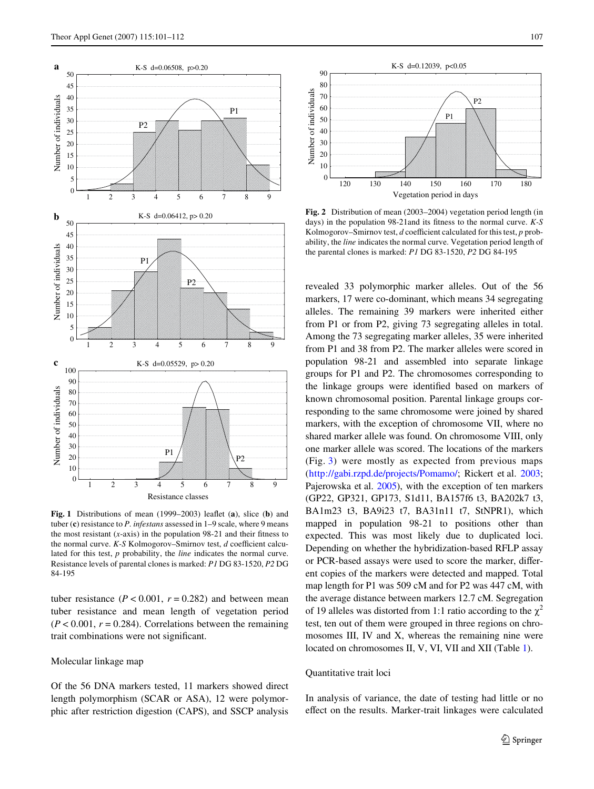

<span id="page-6-0"></span>Fig. 1 Distributions of mean (1999–2003) leaflet (a), slice (b) and tuber (**c**) resistance to *P. infestans* assessed in 1–9 scale, where 9 means the most resistant  $(x$ -axis) in the population 98-21 and their fitness to the normal curve. *K-S* Kolmogorov–Smirnov test, *d* coefficient calculated for this test, *p* probability, the *line* indicates the normal curve. Resistance levels of parental clones is marked: *P1* DG 83-1520, *P2* DG 84-195

tuber resistance  $(P < 0.001, r = 0.282)$  and between mean tuber resistance and mean length of vegetation period  $(P < 0.001, r = 0.284)$ . Correlations between the remaining trait combinations were not significant.

#### Molecular linkage map

Of the 56 DNA markers tested, 11 markers showed direct length polymorphism (SCAR or ASA), 12 were polymorphic after restriction digestion (CAPS), and SSCP analysis



<span id="page-6-1"></span>**Fig. 2** Distribution of mean (2003–2004) vegetation period length (in days) in the population  $98-21$  and its fitness to the normal curve.  $K-S$ Kolmogorov–Smirnov test, *d* coefficient calculated for this test, *p* probability, the *line* indicates the normal curve. Vegetation period length of the parental clones is marked: *P1* DG 83-1520, *P2* DG 84-195

revealed 33 polymorphic marker alleles. Out of the 56 markers, 17 were co-dominant, which means 34 segregating alleles. The remaining 39 markers were inherited either from P1 or from P2, giving 73 segregating alleles in total. Among the 73 segregating marker alleles, 35 were inherited from P1 and 38 from P2. The marker alleles were scored in population 98-21 and assembled into separate linkage groups for P1 and P2. The chromosomes corresponding to the linkage groups were identified based on markers of known chromosomal position. Parental linkage groups corresponding to the same chromosome were joined by shared markers, with the exception of chromosome VII, where no shared marker allele was found. On chromosome VIII, only one marker allele was scored. The locations of the markers (Fig. [3](#page-7-0)) were mostly as expected from previous maps ([http://gabi.rzpd.de/projects/Pomamo/;](http://gabi.rzpd.de/projects/Pomamo/) Rickert et al. [2003;](#page-11-16) Pajerowska et al. [2005\)](#page-11-20), with the exception of ten markers (GP22, GP321, GP173, S1d11, BA157f6 t3, BA202k7 t3, BA1m23 t3, BA9i23 t7, BA31n11 t7, StNPR1), which mapped in population 98-21 to positions other than expected. This was most likely due to duplicated loci. Depending on whether the hybridization-based RFLP assay or PCR-based assays were used to score the marker, different copies of the markers were detected and mapped. Total map length for P1 was 509 cM and for P2 was 447 cM, with the average distance between markers 12.7 cM. Segregation of 19 alleles was distorted from 1:1 ratio according to the  $\chi^2$ test, ten out of them were grouped in three regions on chromosomes III, IV and X, whereas the remaining nine were located on chromosomes II, V, VI, VII and XII (Table [1](#page-4-0)).

#### Quantitative trait loci

In analysis of variance, the date of testing had little or no effect on the results. Marker-trait linkages were calculated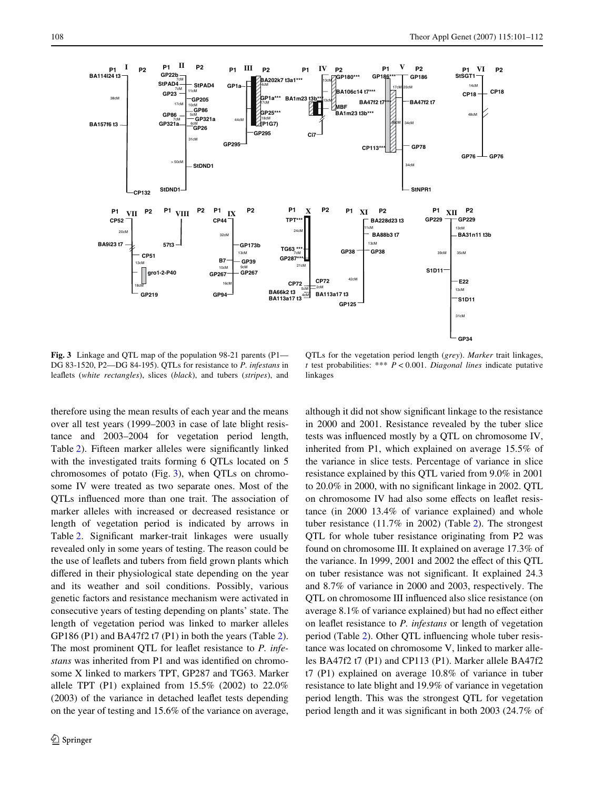

<span id="page-7-0"></span>**Fig. 3** Linkage and QTL map of the population 98-21 parents (P1— DG 83-1520, P2—DG 84-195). QTLs for resistance to *P. infestans* in leaflets (*white rectangles*), slices (*black*), and tubers (*stripes*), and

QTLs for the vegetation period length (*grey*). *Marker* trait linkages, *t* test probabilities: \*\*\* *P* < 0.001. *Diagonal lines* indicate putative linkages

therefore using the mean results of each year and the means over all test years (1999–2003 in case of late blight resistance and 2003–2004 for vegetation period length, Table [2](#page-8-0)). Fifteen marker alleles were significantly linked with the investigated traits forming 6 QTLs located on 5 chromosomes of potato (Fig. [3\)](#page-7-0), when QTLs on chromosome IV were treated as two separate ones. Most of the QTLs influenced more than one trait. The association of marker alleles with increased or decreased resistance or length of vegetation period is indicated by arrows in Table [2](#page-8-0). Significant marker-trait linkages were usually revealed only in some years of testing. The reason could be the use of leaflets and tubers from field grown plants which differed in their physiological state depending on the year and its weather and soil conditions. Possibly, various genetic factors and resistance mechanism were activated in consecutive years of testing depending on plants' state. The length of vegetation period was linked to marker alleles GP186 (P1) and BA47f2 t7 (P1) in both the years (Table [2](#page-8-0)). The most prominent QTL for leaflet resistance to *P. infe*stans was inherited from P1 and was identified on chromosome X linked to markers TPT, GP287 and TG63. Marker allele TPT (P1) explained from  $15.5\%$  (2002) to  $22.0\%$  $(2003)$  of the variance in detached leaflet tests depending on the year of testing and 15.6% of the variance on average,

although it did not show significant linkage to the resistance in 2000 and 2001. Resistance revealed by the tuber slice tests was influenced mostly by a OTL on chromosome IV, inherited from P1, which explained on average 15.5% of the variance in slice tests. Percentage of variance in slice resistance explained by this QTL varied from 9.0% in 2001 to  $20.0\%$  in 2000, with no significant linkage in 2002. QTL on chromosome IV had also some effects on leaflet resistance (in 2000 13.4% of variance explained) and whole tuber resistance (11.7% in 2002) (Table [2](#page-8-0)). The strongest QTL for whole tuber resistance originating from P2 was found on chromosome III. It explained on average 17.3% of the variance. In 1999, 2001 and 2002 the effect of this QTL on tuber resistance was not significant. It explained 24.3 and 8.7% of variance in 2000 and 2003, respectively. The QTL on chromosome III influenced also slice resistance (on average  $8.1\%$  of variance explained) but had no effect either on leaflet resistance to *P. infestans* or length of vegetation period (Table [2](#page-8-0)). Other QTL influencing whole tuber resistance was located on chromosome V, linked to marker alleles BA47f2 t7 (P1) and CP113 (P1). Marker allele BA47f2 t7 (P1) explained on average 10.8% of variance in tuber resistance to late blight and 19.9% of variance in vegetation period length. This was the strongest QTL for vegetation period length and it was significant in both 2003 (24.7% of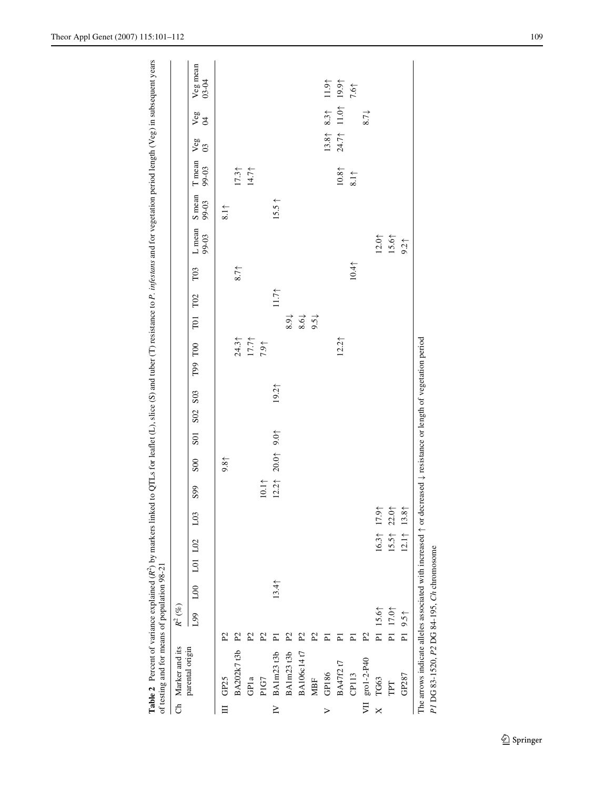|                  | Ch Marker and its | $R^2(\%)$      |      |             |               |      |                  |                 |                                    |                 |                            |                 |                                       |                 |                                       |                 |                     |                  |                     |
|------------------|-------------------|----------------|------|-------------|---------------|------|------------------|-----------------|------------------------------------|-----------------|----------------------------|-----------------|---------------------------------------|-----------------|---------------------------------------|-----------------|---------------------|------------------|---------------------|
|                  | parental origin   |                |      |             |               |      |                  |                 |                                    |                 |                            |                 |                                       |                 |                                       |                 |                     |                  |                     |
|                  |                   | L99            |      | L00 L01 L02 | L03           | S99  | S <sub>00</sub>  | S <sub>01</sub> | S <sub>03</sub><br>S <sub>02</sub> | T99 T00         | T <sub>01</sub>            | T <sub>02</sub> | T03                                   | L mean<br>99-03 | S mean<br>99-03                       | T mean<br>99-03 | $\frac{V_{eg}}{03}$ | $\frac{1}{2}a$   | Veg mean<br>$03-04$ |
| 目                | GP25              | $\Sigma$       |      |             |               |      | 9.8 <sub>0</sub> |                 |                                    |                 |                            |                 |                                       |                 | $8.1$ <sup><math>\dagger</math></sup> |                 |                     |                  |                     |
|                  | BA202k7t3b        | $\mathbb{P}^2$ |      |             |               |      |                  |                 |                                    | $24.3\uparrow$  |                            |                 | $8.7$ <sup><math>\dagger</math></sup> |                 |                                       | $17.3\uparrow$  |                     |                  |                     |
|                  | GPla              | 2              |      |             |               |      |                  |                 |                                    | $17.7\uparrow$  |                            |                 |                                       |                 |                                       | 14.7 $\uparrow$ |                     |                  |                     |
|                  | P <sub>IG7</sub>  | 2              |      |             |               | 10.1 |                  |                 |                                    | $7.9$ $\dagger$ |                            |                 |                                       |                 |                                       |                 |                     |                  |                     |
| $\geq$           | BA1m23 t3b        | 口              | 13.4 |             |               |      | 12.21 20.01 9.01 |                 | 19.2                               |                 |                            | 11.7            |                                       |                 | $15.5$ $\uparrow$                     |                 |                     |                  |                     |
|                  | <b>BA1m23</b> t3b | $\mathbb{Z}$   |      |             |               |      |                  |                 |                                    |                 | $8.9\downarrow$            |                 |                                       |                 |                                       |                 |                     |                  |                     |
|                  | BA106c14f7        | P.             |      |             |               |      |                  |                 |                                    |                 |                            |                 |                                       |                 |                                       |                 |                     |                  |                     |
|                  | <b>MBF</b>        | 2              |      |             |               |      |                  |                 |                                    |                 | $8.61$<br>9.5 $\downarrow$ |                 |                                       |                 |                                       |                 |                     |                  |                     |
| $\triangleright$ | GP186             | E              |      |             |               |      |                  |                 |                                    |                 |                            |                 |                                       |                 |                                       |                 |                     | $13.8$ $8.3$ $*$ | $11.9\uparrow$      |
|                  | <b>BA47f2t7</b>   | E              |      |             |               |      |                  |                 |                                    | $12.2^{\circ}$  |                            |                 |                                       |                 |                                       | $10.8\uparrow$  | 24.71               | 11.0             | $19.9\uparrow$      |
|                  | <b>CP113</b>      | E              |      |             |               |      |                  |                 |                                    |                 |                            |                 | 10.4                                  |                 |                                       | 8.1             |                     |                  | 7.61                |
|                  | VII gro1-2-P40    | $\Sigma$       |      |             |               |      |                  |                 |                                    |                 |                            |                 |                                       |                 |                                       |                 |                     | $8.7\downarrow$  |                     |
|                  | $X$ TG63          | P1 15.6        |      |             | $16.3$ $17.9$ |      |                  |                 |                                    |                 |                            |                 |                                       | $12.0\uparrow$  |                                       |                 |                     |                  |                     |
|                  | TPT               | P1 17.0        |      |             | $15.5$ 22.0   |      |                  |                 |                                    |                 |                            |                 |                                       | $15.6\uparrow$  |                                       |                 |                     |                  |                     |
|                  | GP287             | P1 9.51        |      |             | $12.1$ $13.8$ |      |                  |                 |                                    |                 |                            |                 |                                       | 9.2             |                                       |                 |                     |                  |                     |

<span id="page-8-0"></span> $2$  Springer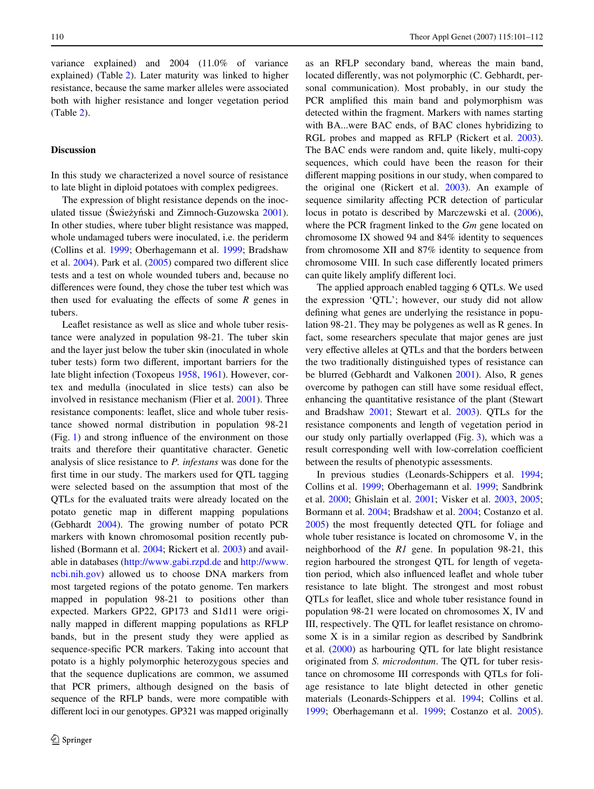variance explained) and 2004 (11.0% of variance explained) (Table [2\)](#page-8-0). Later maturity was linked to higher resistance, because the same marker alleles were associated both with higher resistance and longer vegetation period (Table [2\)](#page-8-0).

#### **Discussion**

In this study we characterized a novel source of resistance to late blight in diploid potatoes with complex pedigrees.

The expression of blight resistance depends on the inoc-ulated tissue (Swieżyński and Zimnoch-Guzowska [2001](#page-11-6)). In other studies, where tuber blight resistance was mapped, whole undamaged tubers were inoculated, i.e. the periderm (Collins et al. [1999;](#page-10-3) Oberhagemann et al. [1999;](#page-10-4) Bradshaw et al.  $2004$ ). Park et al.  $(2005)$  $(2005)$  compared two different slice tests and a test on whole wounded tubers and, because no differences were found, they chose the tuber test which was then used for evaluating the effects of some  $R$  genes in tubers.

Leaflet resistance as well as slice and whole tuber resistance were analyzed in population 98-21. The tuber skin and the layer just below the tuber skin (inoculated in whole tuber tests) form two different, important barriers for the late blight infection (Toxopeus [1958,](#page-11-22) [1961\)](#page-11-23). However, cortex and medulla (inoculated in slice tests) can also be involved in resistance mechanism (Flier et al. [2001](#page-10-15)). Three resistance components: leaflet, slice and whole tuber resistance showed normal distribution in population 98-21  $(Fig. 1)$  $(Fig. 1)$  and strong influence of the environment on those traits and therefore their quantitative character. Genetic analysis of slice resistance to *P. infestans* was done for the first time in our study. The markers used for QTL tagging were selected based on the assumption that most of the QTLs for the evaluated traits were already located on the potato genetic map in different mapping populations (Gebhardt [2004](#page-10-16)). The growing number of potato PCR markers with known chromosomal position recently published (Bormann et al. [2004](#page-10-5); Rickert et al. [2003](#page-11-16)) and available in databases [\(http://www.gabi.rzpd.de](http://www.gabi.rzpd.de) and [http://www.](http://www.ncbi.nih.gov) [ncbi.nih.gov](http://www.ncbi.nih.gov)) allowed us to choose DNA markers from most targeted regions of the potato genome. Ten markers mapped in population 98-21 to positions other than expected. Markers GP22, GP173 and S1d11 were originally mapped in different mapping populations as RFLP bands, but in the present study they were applied as sequence-specific PCR markers. Taking into account that potato is a highly polymorphic heterozygous species and that the sequence duplications are common, we assumed that PCR primers, although designed on the basis of sequence of the RFLP bands, were more compatible with different loci in our genotypes. GP321 was mapped originally as an RFLP secondary band, whereas the main band, located differently, was not polymorphic (C. Gebhardt, personal communication). Most probably, in our study the PCR amplified this main band and polymorphism was detected within the fragment. Markers with names starting with BA...were BAC ends, of BAC clones hybridizing to RGL probes and mapped as RFLP (Rickert et al. [2003\)](#page-11-16). The BAC ends were random and, quite likely, multi-copy sequences, which could have been the reason for their different mapping positions in our study, when compared to the original one (Rickert et al. [2003](#page-11-16)). An example of sequence similarity affecting PCR detection of particular locus in potato is described by Marczewski et al. ([2006\)](#page-10-13), where the PCR fragment linked to the *Gm* gene located on chromosome IX showed 94 and 84% identity to sequences from chromosome XII and 87% identity to sequence from chromosome VIII. In such case differently located primers can quite likely amplify different loci.

The applied approach enabled tagging 6 QTLs. We used the expression 'QTL'; however, our study did not allow defining what genes are underlying the resistance in population 98-21. They may be polygenes as well as R genes. In fact, some researchers speculate that major genes are just very effective alleles at QTLs and that the borders between the two traditionally distinguished types of resistance can be blurred (Gebhardt and Valkonen [2001\)](#page-10-17). Also, R genes overcome by pathogen can still have some residual effect, enhancing the quantitative resistance of the plant (Stewart and Bradshaw [2001](#page-11-24); Stewart et al. [2003](#page-11-25)). QTLs for the resistance components and length of vegetation period in our study only partially overlapped (Fig. [3\)](#page-7-0), which was a result corresponding well with low-correlation coefficient between the results of phenotypic assessments.

In previous studies (Leonards-Schippers et al. [1994;](#page-10-18) Collins et al. [1999](#page-10-3); Oberhagemann et al. [1999;](#page-10-4) Sandbrink et al. [2000](#page-11-11); Ghislain et al. [2001;](#page-10-19) Visker et al. [2003,](#page-11-2) [2005;](#page-11-3) Bormann et al. [2004;](#page-10-5) Bradshaw et al. [2004](#page-10-6); Costanzo et al. [2005](#page-10-20)) the most frequently detected QTL for foliage and whole tuber resistance is located on chromosome V, in the neighborhood of the *R1* gene. In population 98-21, this region harboured the strongest QTL for length of vegetation period, which also influenced leaflet and whole tuber resistance to late blight. The strongest and most robust QTLs for leaflet, slice and whole tuber resistance found in population 98-21 were located on chromosomes X, IV and III, respectively. The QTL for leaflet resistance on chromosome X is in a similar region as described by Sandbrink et al. ([2000\)](#page-11-11) as harbouring QTL for late blight resistance originated from *S. microdontum*. The QTL for tuber resistance on chromosome III corresponds with QTLs for foliage resistance to late blight detected in other genetic materials (Leonards-Schippers et al. [1994](#page-10-18); Collins et al. [1999](#page-10-3); Oberhagemann et al. [1999](#page-10-4); Costanzo et al. [2005\)](#page-10-20).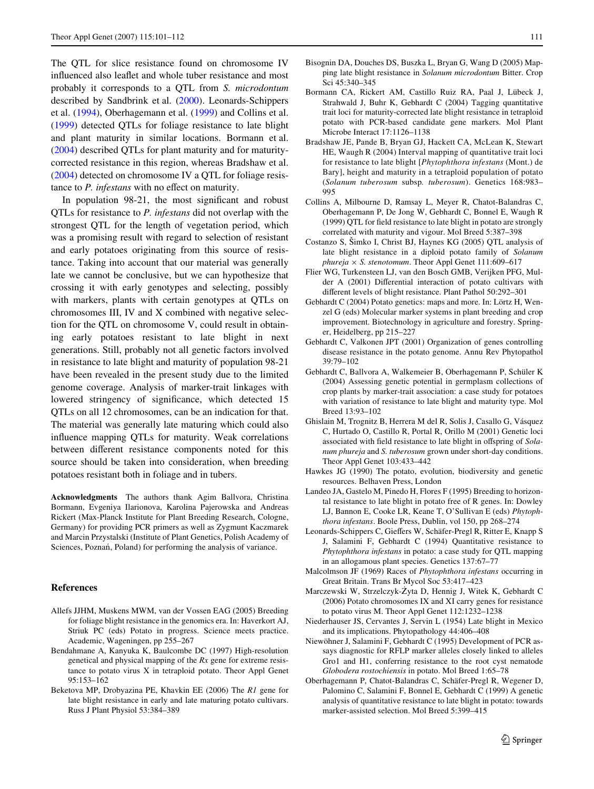The QTL for slice resistance found on chromosome IV influenced also leaflet and whole tuber resistance and most probably it corresponds to a QTL from *S. microdontum* described by Sandbrink et al. [\(2000](#page-11-11)). Leonards-Schippers et al. ([1994\)](#page-10-18), Oberhagemann et al. ([1999\)](#page-10-4) and Collins et al. [\(1999](#page-10-3)) detected QTLs for foliage resistance to late blight and plant maturity in similar locations. Bormann et al. [\(2004](#page-10-5)) described QTLs for plant maturity and for maturitycorrected resistance in this region, whereas Bradshaw et al. [\(2004](#page-10-6)) detected on chromosome IV a QTL for foliage resistance to *P. infestans* with no effect on maturity.

In population 98-21, the most significant and robust QTLs for resistance to *P. infestans* did not overlap with the strongest QTL for the length of vegetation period, which was a promising result with regard to selection of resistant and early potatoes originating from this source of resistance. Taking into account that our material was generally late we cannot be conclusive, but we can hypothesize that crossing it with early genotypes and selecting, possibly with markers, plants with certain genotypes at QTLs on chromosomes III, IV and X combined with negative selection for the QTL on chromosome V, could result in obtaining early potatoes resistant to late blight in next generations. Still, probably not all genetic factors involved in resistance to late blight and maturity of population 98-21 have been revealed in the present study due to the limited genome coverage. Analysis of marker-trait linkages with lowered stringency of significance, which detected 15 QTLs on all 12 chromosomes, can be an indication for that. The material was generally late maturing which could also influence mapping QTLs for maturity. Weak correlations between different resistance components noted for this source should be taken into consideration, when breeding potatoes resistant both in foliage and in tubers.

**Acknowledgments** The authors thank Agim Ballvora, Christina Bormann, Evgeniya Ilarionova, Karolina Pajerowska and Andreas Rickert (Max-Planck Institute for Plant Breeding Research, Cologne, Germany) for providing PCR primers as well as Zygmunt Kaczmarek and Marcin Przystalski (Institute of Plant Genetics, Polish Academy of Sciences, Poznań, Poland) for performing the analysis of variance.

#### **References**

- <span id="page-10-2"></span>Allefs JJHM, Muskens MWM, van der Vossen EAG (2005) Breeding for foliage blight resistance in the genomics era. In: Haverkort AJ, Striuk PC (eds) Potato in progress. Science meets practice. Academic, Wageningen, pp 255–267
- <span id="page-10-14"></span>Bendahmane A, Kanyuka K, Baulcombe DC (1997) High-resolution genetical and physical mapping of the *Rx* gene for extreme resistance to potato virus X in tetraploid potato. Theor Appl Genet 95:153–162
- <span id="page-10-1"></span>Beketova MP, Drobyazina PE, Khavkin EE (2006) The *R1* gene for late blight resistance in early and late maturing potato cultivars. Russ J Plant Physiol 53:384–389
- <span id="page-10-11"></span>Bisognin DA, Douches DS, Buszka L, Bryan G, Wang D (2005) Mapping late blight resistance in *Solanum microdontum* Bitter. Crop Sci 45:340–345
- <span id="page-10-5"></span>Bormann CA, Rickert AM, Castillo Ruiz RA, Paal J, Lübeck J, Strahwald J, Buhr K, Gebhardt C (2004) Tagging quantitative trait loci for maturity-corrected late blight resistance in tetraploid potato with PCR-based candidate gene markers. Mol Plant Microbe Interact 17:1126–1138
- <span id="page-10-6"></span>Bradshaw JE, Pande B, Bryan GJ, Hackett CA, McLean K, Stewart HE, Waugh R (2004) Interval mapping of quantitative trait loci for resistance to late blight [*Phytophthora infestans* (Mont.) de Bary], height and maturity in a tetraploid population of potato (*Solanum tuberosum* subsp*. tuberosum*). Genetics 168:983– 995
- <span id="page-10-3"></span>Collins A, Milbourne D, Ramsay L, Meyer R, Chatot-Balandras C, Oberhagemann P, De Jong W, Gebhardt C, Bonnel E, Waugh R (1999) QTL for field resistance to late blight in potato are strongly correlated with maturity and vigour. Mol Breed 5:387–398
- <span id="page-10-20"></span>Costanzo S, Šimko I, Christ BJ, Haynes KG (2005) QTL analysis of late blight resistance in a diploid potato family of *Solanum phureja*  $\times$  *S. stenotomum.* Theor Appl Genet 111:609–617
- <span id="page-10-15"></span>Flier WG, Turkensteen LJ, van den Bosch GMB, Verijken PFG, Mulder A (2001) Differential interaction of potato cultivars with different levels of blight resistance. Plant Pathol 50:292-301
- <span id="page-10-16"></span>Gebhardt C (2004) Potato genetics: maps and more. In: Lörtz H, Wenzel G (eds) Molecular marker systems in plant breeding and crop improvement. Biotechnology in agriculture and forestry. Springer, Heidelberg, pp 215–227
- <span id="page-10-17"></span>Gebhardt C, Valkonen JPT (2001) Organization of genes controlling disease resistance in the potato genome. Annu Rev Phytopathol 39:79–102
- <span id="page-10-0"></span>Gebhardt C, Ballvora A, Walkemeier B, Oberhagemann P, Schüler K (2004) Assessing genetic potential in germplasm collections of crop plants by marker-trait association: a case study for potatoes with variation of resistance to late blight and maturity type. Mol Breed 13:93–102
- <span id="page-10-19"></span>Ghislain M, Trognitz B, Herrera M del R, Solis J, Casallo G, Vásquez C, Hurtado O, Castillo R, Portal R, Orillo M (2001) Genetic loci associated with field resistance to late blight in offspring of *Solanum phureja* and *S. tuberosum* grown under short-day conditions. Theor Appl Genet 103:433–442
- <span id="page-10-10"></span>Hawkes JG (1990) The potato, evolution, biodiversity and genetic resources. Belhaven Press, London
- <span id="page-10-9"></span>Landeo JA, Gastelo M, Pinedo H, Flores F (1995) Breeding to horizontal resistance to late blight in potato free of R genes. In: Dowley LJ, Bannon E, Cooke LR, Keane T, O'Sullivan E (eds) *Phytophthora infestans*. Boole Press, Dublin, vol 150, pp 268–274
- <span id="page-10-18"></span>Leonards-Schippers C, Gieffers W, Schäfer-Pregl R, Ritter E, Knapp S J, Salamini F, Gebhardt C (1994) Quantitative resistance to *Phytophthora infestans* in potato: a case study for QTL mapping in an allogamous plant species. Genetics 137:67–77
- <span id="page-10-8"></span>Malcolmson JF (1969) Races of *Phytophthora infestans* occurring in Great Britain. Trans Br Mycol Soc 53:417–423
- <span id="page-10-13"></span>Marczewski W, Strzelczyk-Żyta D, Hennig J, Witek K, Gebhardt C (2006) Potato chromosomes IX and XI carry genes for resistance to potato virus M. Theor Appl Genet 112:1232–1238
- <span id="page-10-7"></span>Niederhauser JS, Cervantes J, Servin L (1954) Late blight in Mexico and its implications. Phytopathology 44:406–408
- <span id="page-10-12"></span>Niewöhner J, Salamini F, Gebhardt C (1995) Development of PCR assays diagnostic for RFLP marker alleles closely linked to alleles Gro1 and H1, conferring resistance to the root cyst nematode *Globodera rostochiensis* in potato. Mol Breed 1:65–78
- <span id="page-10-4"></span>Oberhagemann P, Chatot-Balandras C, Schäfer-Pregl R, Wegener D, Palomino C, Salamini F, Bonnel E, Gebhardt C (1999) A genetic analysis of quantitative resistance to late blight in potato: towards marker-assisted selection. Mol Breed 5:399–415